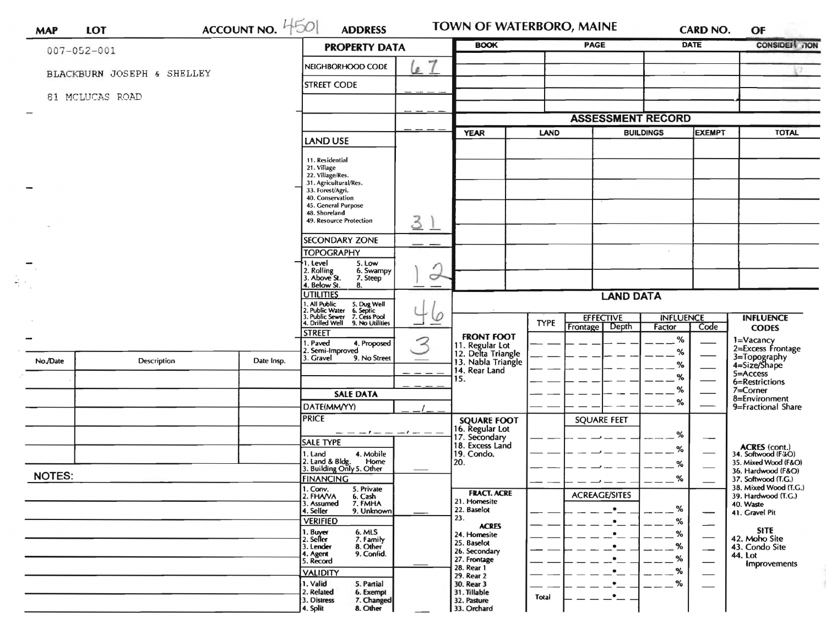| $007 - 052 - 001$ |                            |            | <b>PROPERTY DATA</b>                                                                                                                                                                   |              | <b>BOOK</b>                                                 |             | <b>PAGE</b>                           |                                    | <b>DATE</b>              | <b>CONSIDER TON</b>                                            |
|-------------------|----------------------------|------------|----------------------------------------------------------------------------------------------------------------------------------------------------------------------------------------|--------------|-------------------------------------------------------------|-------------|---------------------------------------|------------------------------------|--------------------------|----------------------------------------------------------------|
|                   | BLACKBURN JOSEPH & SHELLEY |            | NEIGHBORHOOD CODE                                                                                                                                                                      | ッ<br>e       |                                                             |             |                                       |                                    |                          |                                                                |
| 81 MCLUCAS ROAD   |                            |            | <b>STREET CODE</b>                                                                                                                                                                     |              |                                                             |             |                                       |                                    |                          |                                                                |
|                   |                            |            |                                                                                                                                                                                        |              |                                                             |             |                                       |                                    |                          |                                                                |
|                   |                            |            |                                                                                                                                                                                        |              |                                                             |             | <b>ASSESSMENT RECORD</b>              |                                    |                          |                                                                |
|                   |                            |            | LAND USE                                                                                                                                                                               |              | <b>YEAR</b>                                                 | LAND        |                                       | <b>BUILDINGS</b>                   | <b>EXEMPT</b>            | <b>TOTAL</b>                                                   |
|                   |                            |            | 11. Residential<br>21. Village<br>22. Village/Res.<br>31. Agricultural/Res.<br>33. Forest/Agri.<br>40. Conservation<br>45. General Purpose<br>48. Shoreland<br>49. Resource Protection | 31           |                                                             |             |                                       |                                    |                          |                                                                |
|                   |                            |            | <b>SECONDARY ZONE</b>                                                                                                                                                                  |              |                                                             |             |                                       |                                    |                          |                                                                |
|                   |                            |            | <b>TOPOGRAPHY</b>                                                                                                                                                                      |              |                                                             |             |                                       |                                    |                          |                                                                |
|                   |                            |            | 1. Level<br>5. Low<br>2. Rolling<br>3. Above St.<br>6. Swampy<br>7. Steep                                                                                                              | O            |                                                             |             |                                       |                                    |                          |                                                                |
|                   |                            |            | 4. Below St.<br>8.<br><b>UTILITIES</b>                                                                                                                                                 |              |                                                             |             | <b>LAND DATA</b>                      |                                    |                          |                                                                |
|                   |                            |            | 1. All Public 5. Dug Well<br>2. Public Water 6. Septic<br>3. Public Sewer 7. Cess Pool<br>4. Drilled Well 9. No Utilities<br><b>STREET</b>                                             | Ø<br>$\prec$ | <b>FRONT FOOT</b>                                           | <b>TYPE</b> | <b>EFFECTIVE</b><br>Depth<br>Frontage | <b>INFLUENCE</b><br>Factor<br>$\%$ | Code                     | <b>INFLUENCE</b><br><b>CODES</b>                               |
| No./Date          | Description                | Date Insp. | . Paved<br>4. Proposed<br>2. Semi-Improved<br>3. Gravel<br>9. No Street                                                                                                                |              | 11. Regular Lot<br>12. Delta Triangle<br>13. Nabla Triangle |             |                                       | %                                  |                          | 1=Vacancy<br>2=Excess Frontage<br>3=Topography<br>4=Size/Shape |
|                   |                            |            |                                                                                                                                                                                        | .            | 14. Rear Land                                               |             |                                       | %                                  |                          | 5=Access                                                       |
|                   |                            |            |                                                                                                                                                                                        |              | 15.                                                         |             |                                       | %                                  |                          | 6=Restrictions                                                 |
|                   |                            |            | <b>SALE DATA</b>                                                                                                                                                                       |              |                                                             |             |                                       | %<br>%                             |                          | $7 =$ Corner<br>8=Environment                                  |
|                   |                            |            | DATE(MM/YY)                                                                                                                                                                            |              |                                                             |             |                                       |                                    |                          | 9=Fractional Share                                             |
|                   |                            |            | <b>PRICE</b>                                                                                                                                                                           |              | <b>SQUARE FOOT</b>                                          |             | <b>SQUARE FEET</b>                    |                                    |                          |                                                                |
|                   |                            |            | — — — ! — — — — ! — — —<br><b>SALE TYPE</b>                                                                                                                                            |              | 16. Regular Lot<br>17. Secondary                            |             |                                       | %                                  | $\overline{\phantom{0}}$ |                                                                |
|                   |                            |            | 1. Land<br>4. Mobile                                                                                                                                                                   |              | 18. Excess Land<br>19. Condo.                               |             |                                       | %                                  |                          | <b>ACRES</b> (cont.)<br>34. Softwood (F4O)                     |
|                   |                            |            | 2. Land & Bldg. Home<br>3. Building Only 5. Other<br>Home                                                                                                                              |              | [20.                                                        |             |                                       | %                                  |                          | 35. Mixed Wood (F&O)<br>36. Hardwood (F&O)                     |
| <b>NOTES:</b>     |                            |            | <b>FINANCING</b>                                                                                                                                                                       |              |                                                             |             |                                       | %                                  |                          | 37. Softwood (T.G.)                                            |
|                   |                            |            | 1. Conv.<br>2. FHAVA<br>5. Private<br>6. Cash                                                                                                                                          |              | <b>FRACT. ACRE</b>                                          |             | <b>ACREAGE/SITES</b>                  |                                    |                          | 38. Mixed Wood (T.G.)<br>39. Hardwood (T.G.)                   |
|                   |                            |            | 7. FMHA<br>3. Assumed<br>9. Unknown<br>4. Seller                                                                                                                                       |              | 21. Homesite<br>22. Baselot                                 |             | $\bullet$                             | %                                  |                          | 40. Waste<br>41. Gravel Pit                                    |
|                   |                            |            | <b>VERIFIED</b>                                                                                                                                                                        |              | 23.                                                         |             | $\bullet$                             | ℅                                  | $\overline{\phantom{0}}$ |                                                                |
|                   |                            |            | 6. MLS<br>1. Buyer<br>2. Seller                                                                                                                                                        |              | <b>ACRES</b><br>24. Homesite                                |             | $\bullet$                             | %                                  |                          | <b>SITE</b><br>42. Moho Site                                   |
|                   |                            |            | 7. Family<br>8. Other<br>3. Lender                                                                                                                                                     |              | 25. Baselot<br>26. Secondary                                |             |                                       | %                                  | --                       | 43. Condo Site                                                 |
|                   |                            |            | 9. Confid.<br>4. Agent<br>5. Record                                                                                                                                                    |              | 27. Frontage                                                |             |                                       | %                                  |                          | <b>44. Lot</b><br>Improvements                                 |
|                   |                            |            | <b>VALIDITY</b>                                                                                                                                                                        |              | 28. Rear 1<br>29. Rear 2                                    |             |                                       | %                                  |                          |                                                                |
|                   |                            |            | 1. Valid<br>5. Partial                                                                                                                                                                 |              | 30. Rear 3                                                  |             |                                       | %                                  |                          |                                                                |
|                   |                            |            | 2. Related<br>6. Exempt<br>7. Changed<br>3. Distress                                                                                                                                   |              | 31. Tillable<br>32. Pasture                                 | Total       | $\cdot$ .                             |                                    |                          |                                                                |